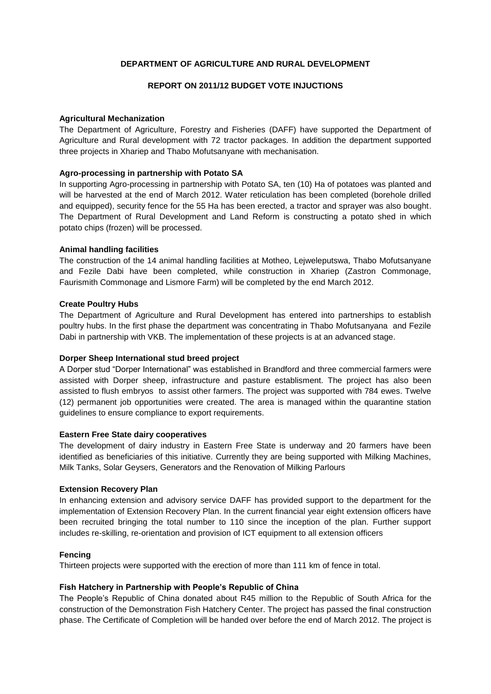# **DEPARTMENT OF AGRICULTURE AND RURAL DEVELOPMENT**

# **REPORT ON 2011/12 BUDGET VOTE INJUCTIONS**

### **Agricultural Mechanization**

The Department of Agriculture, Forestry and Fisheries (DAFF) have supported the Department of Agriculture and Rural development with 72 tractor packages. In addition the department supported three projects in Xhariep and Thabo Mofutsanyane with mechanisation.

## **Agro-processing in partnership with Potato SA**

In supporting Agro-processing in partnership with Potato SA, ten (10) Ha of potatoes was planted and will be harvested at the end of March 2012. Water reticulation has been completed (borehole drilled and equipped), security fence for the 55 Ha has been erected, a tractor and sprayer was also bought. The Department of Rural Development and Land Reform is constructing a potato shed in which potato chips (frozen) will be processed.

## **Animal handling facilities**

The construction of the 14 animal handling facilities at Motheo, Lejweleputswa, Thabo Mofutsanyane and Fezile Dabi have been completed, while construction in Xhariep (Zastron Commonage, Faurismith Commonage and Lismore Farm) will be completed by the end March 2012.

## **Create Poultry Hubs**

The Department of Agriculture and Rural Development has entered into partnerships to establish poultry hubs. In the first phase the department was concentrating in Thabo Mofutsanyana and Fezile Dabi in partnership with VKB. The implementation of these projects is at an advanced stage.

# **Dorper Sheep International stud breed project**

A Dorper stud "Dorper International" was established in Brandford and three commercial farmers were assisted with Dorper sheep, infrastructure and pasture establisment. The project has also been assisted to flush embryos to assist other farmers. The project was supported with 784 ewes. Twelve (12) permanent job opportunities were created. The area is managed within the quarantine station guidelines to ensure compliance to export requirements.

### **Eastern Free State dairy cooperatives**

The development of dairy industry in Eastern Free State is underway and 20 farmers have been identified as beneficiaries of this initiative. Currently they are being supported with Milking Machines, Milk Tanks, Solar Geysers, Generators and the Renovation of Milking Parlours

### **Extension Recovery Plan**

In enhancing extension and advisory service DAFF has provided support to the department for the implementation of Extension Recovery Plan. In the current financial year eight extension officers have been recruited bringing the total number to 110 since the inception of the plan. Further support includes re-skilling, re-orientation and provision of ICT equipment to all extension officers

### **Fencing**

Thirteen projects were supported with the erection of more than 111 km of fence in total.

### **Fish Hatchery in Partnership with People's Republic of China**

The People's Republic of China donated about R45 million to the Republic of South Africa for the construction of the Demonstration Fish Hatchery Center. The project has passed the final construction phase. The Certificate of Completion will be handed over before the end of March 2012. The project is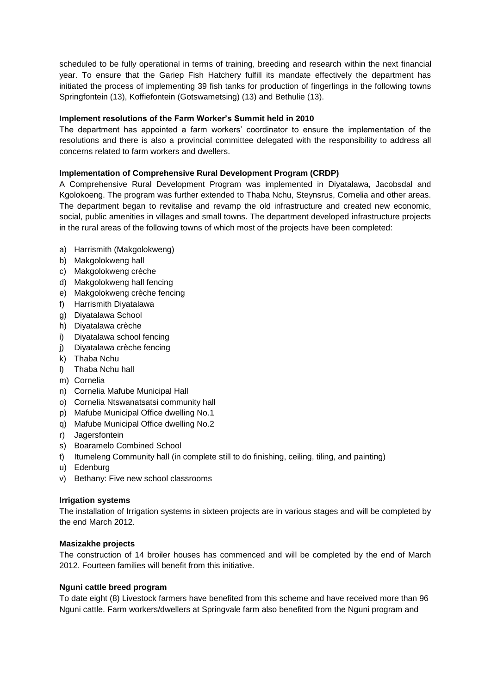scheduled to be fully operational in terms of training, breeding and research within the next financial year. To ensure that the Gariep Fish Hatchery fulfill its mandate effectively the department has initiated the process of implementing 39 fish tanks for production of fingerlings in the following towns Springfontein (13), Koffiefontein (Gotswametsing) (13) and Bethulie (13).

# **Implement resolutions of the Farm Worker's Summit held in 2010**

The department has appointed a farm workers' coordinator to ensure the implementation of the resolutions and there is also a provincial committee delegated with the responsibility to address all concerns related to farm workers and dwellers.

# **Implementation of Comprehensive Rural Development Program (CRDP)**

A Comprehensive Rural Development Program was implemented in Diyatalawa, Jacobsdal and Kgolokoeng. The program was further extended to Thaba Nchu, Steynsrus, Cornelia and other areas. The department began to revitalise and revamp the old infrastructure and created new economic, social, public amenities in villages and small towns. The department developed infrastructure projects in the rural areas of the following towns of which most of the projects have been completed:

- a) Harrismith (Makgolokweng)
- b) Makgolokweng hall
- c) Makgolokweng crèche
- d) Makgolokweng hall fencing
- e) Makgolokweng crèche fencing
- f) Harrismith Diyatalawa
- g) Diyatalawa School
- h) Diyatalawa crèche
- i) Diyatalawa school fencing
- j) Diyatalawa crèche fencing
- k) Thaba Nchu
- l) Thaba Nchu hall
- m) Cornelia
- n) Cornelia Mafube Municipal Hall
- o) Cornelia Ntswanatsatsi community hall
- p) Mafube Municipal Office dwelling No.1
- q) Mafube Municipal Office dwelling No.2
- r) Jagersfontein
- s) Boaramelo Combined School
- t) Itumeleng Community hall (in complete still to do finishing, ceiling, tiling, and painting)
- u) Edenburg
- v) Bethany: Five new school classrooms

# **Irrigation systems**

The installation of Irrigation systems in sixteen projects are in various stages and will be completed by the end March 2012.

# **Masizakhe projects**

The construction of 14 broiler houses has commenced and will be completed by the end of March 2012. Fourteen families will benefit from this initiative.

# **Nguni cattle breed program**

To date eight (8) Livestock farmers have benefited from this scheme and have received more than 96 Nguni cattle. Farm workers/dwellers at Springvale farm also benefited from the Nguni program and